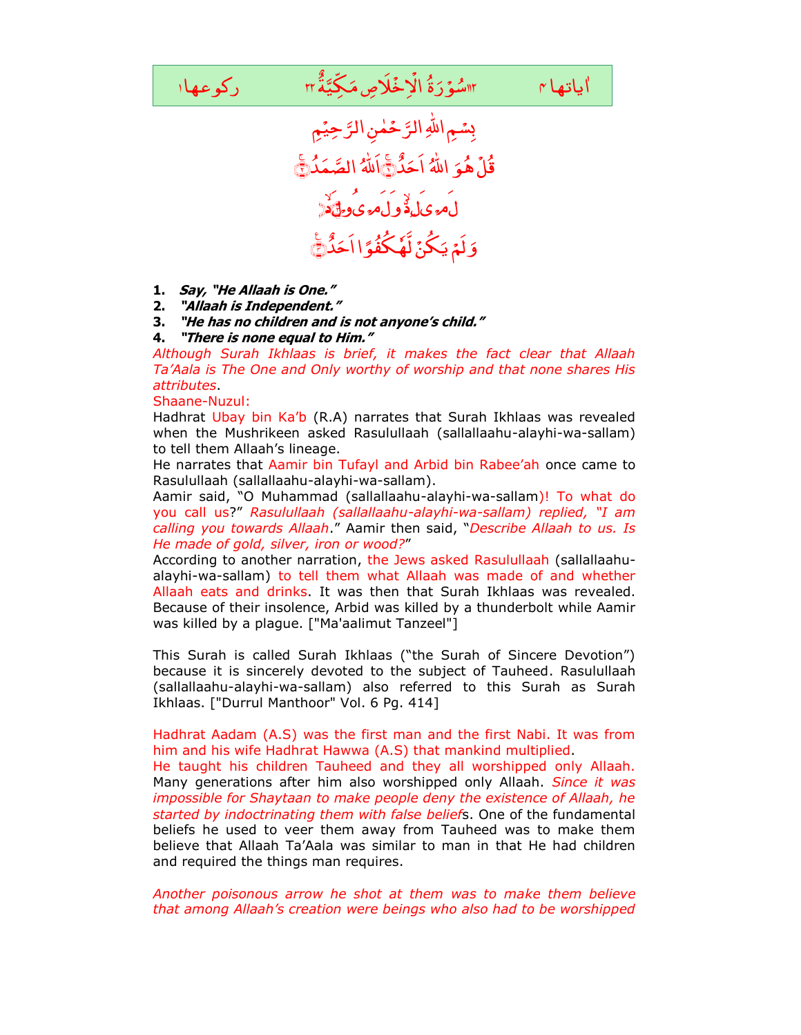

- **1. Say, "He Allaah is One."**
- **2. "Allaah is Independent."**
- **3. "He has no children and is not anyone's child."**
- **4. "There is none equal to Him."**

*Although Surah Ikhlaas is brief, it makes the fact clear that Allaah Ta'Aala is The One and Only worthy of worship and that none shares His attributes*.

Shaane-Nuzul:

Hadhrat Ubay bin Ka'b (R.A) narrates that Surah Ikhlaas was revealed when the Mushrikeen asked Rasulullaah (sallallaahu-alayhi-wa-sallam) to tell them Allaah's lineage.

He narrates that Aamir bin Tufayl and Arbid bin Rabee'ah once came to Rasulullaah (sallallaahu-alayhi-wa-sallam).

Aamir said, "O Muhammad (sallallaahu-alayhi-wa-sallam)! To what do you call us?" *Rasulullaah (sallallaahu-alayhi-wa-sallam) replied, "I am calling you towards Allaah*." Aamir then said, "*Describe Allaah to us. Is He made of gold, silver, iron or wood?*"

According to another narration, the Jews asked Rasulullaah (sallallaahualayhi-wa-sallam) to tell them what Allaah was made of and whether Allaah eats and drinks. It was then that Surah Ikhlaas was revealed. Because of their insolence, Arbid was killed by a thunderbolt while Aamir was killed by a plague. ["Ma'aalimut Tanzeel"]

This Surah is called Surah Ikhlaas ("the Surah of Sincere Devotion") because it is sincerely devoted to the subject of Tauheed. Rasulullaah (sallallaahu-alayhi-wa-sallam) also referred to this Surah as Surah Ikhlaas. ["Durrul Manthoor" Vol. 6 Pg. 414]

Hadhrat Aadam (A.S) was the first man and the first Nabi. It was from him and his wife Hadhrat Hawwa (A.S) that mankind multiplied.

He taught his children Tauheed and they all worshipped only Allaah. Many generations after him also worshipped only Allaah. *Since it was impossible for Shaytaan to make people deny the existence of Allaah, he started by indoctrinating them with false belief*s. One of the fundamental beliefs he used to veer them away from Tauheed was to make them believe that Allaah Ta'Aala was similar to man in that He had children and required the things man requires.

*Another poisonous arrow he shot at them was to make them believe that among Allaah's creation were beings who also had to be worshipped*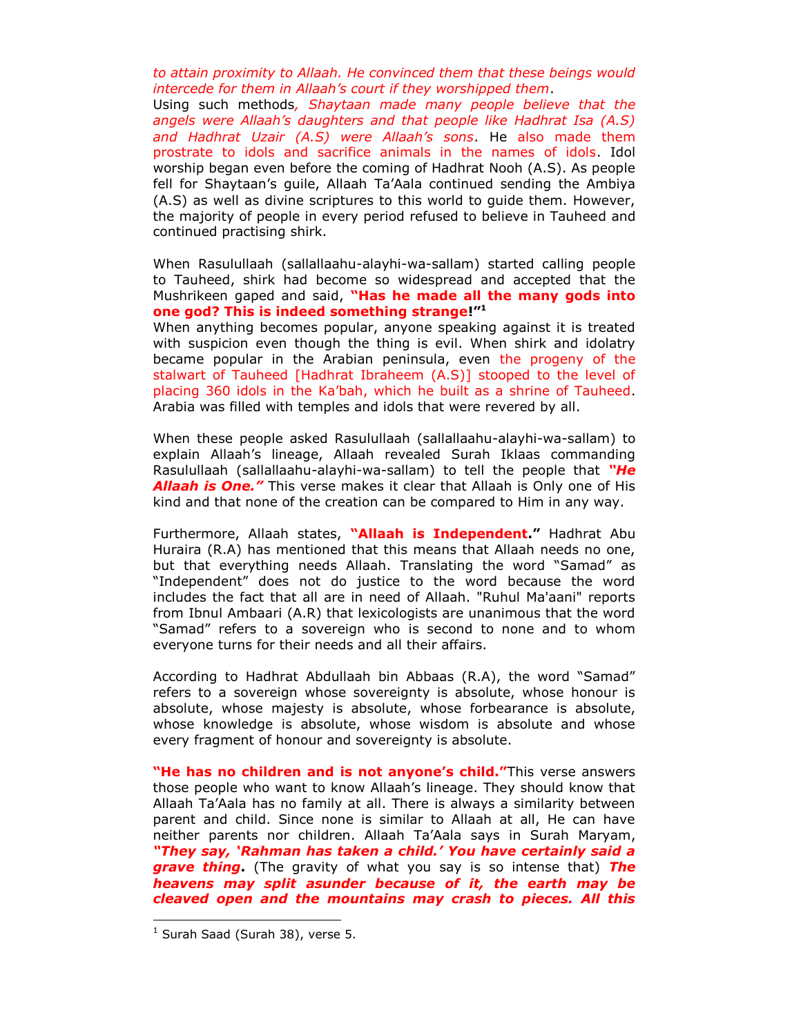*to attain proximity to Allaah. He convinced them that these beings would intercede for them in Allaah's court if they worshipped them*.

Using such methods*, Shaytaan made many people believe that the angels were Allaah's daughters and that people like Hadhrat Isa (A.S) and Hadhrat Uzair (A.S) were Allaah's sons*. He also made them prostrate to idols and sacrifice animals in the names of idols. Idol worship began even before the coming of Hadhrat Nooh (A.S). As people fell for Shaytaan's guile, Allaah Ta'Aala continued sending the Ambiya (A.S) as well as divine scriptures to this world to guide them. However, the majority of people in every period refused to believe in Tauheed and continued practising shirk.

When Rasulullaah (sallallaahu-alayhi-wa-sallam) started calling people to Tauheed, shirk had become so widespread and accepted that the Mushrikeen gaped and said, **"Has he made all the many gods into one god? This is indeed something strange!"<sup>1</sup>**

When anything becomes popular, anyone speaking against it is treated with suspicion even though the thing is evil. When shirk and idolatry became popular in the Arabian peninsula, even the progeny of the stalwart of Tauheed [Hadhrat Ibraheem (A.S)] stooped to the level of placing 360 idols in the Ka'bah, which he built as a shrine of Tauheed. Arabia was filled with temples and idols that were revered by all.

When these people asked Rasulullaah (sallallaahu-alayhi-wa-sallam) to explain Allaah's lineage, Allaah revealed Surah Iklaas commanding Rasulullaah (sallallaahu-alayhi-wa-sallam) to tell the people that *"He Allaah is One."* This verse makes it clear that Allaah is Only one of His kind and that none of the creation can be compared to Him in any way.

Furthermore, Allaah states, **"Allaah is Independent."** Hadhrat Abu Huraira (R.A) has mentioned that this means that Allaah needs no one, but that everything needs Allaah. Translating the word "Samad" as "Independent" does not do justice to the word because the word includes the fact that all are in need of Allaah. "Ruhul Ma'aani" reports from Ibnul Ambaari (A.R) that lexicologists are unanimous that the word "Samad" refers to a sovereign who is second to none and to whom everyone turns for their needs and all their affairs.

According to Hadhrat Abdullaah bin Abbaas (R.A), the word "Samad" refers to a sovereign whose sovereignty is absolute, whose honour is absolute, whose majesty is absolute, whose forbearance is absolute, whose knowledge is absolute, whose wisdom is absolute and whose every fragment of honour and sovereignty is absolute.

**"He has no children and is not anyone's child."**This verse answers those people who want to know Allaah's lineage. They should know that Allaah Ta'Aala has no family at all. There is always a similarity between parent and child. Since none is similar to Allaah at all, He can have neither parents nor children. Allaah Ta'Aala says in Surah Maryam, *"They say, "Rahman has taken a child." You have certainly said a grave thing***.** (The gravity of what you say is so intense that) *The heavens may split asunder because of it, the earth may be cleaved open and the mountains may crash to pieces. All this* 

 $\overline{a}$ 

 $<sup>1</sup>$  Surah Saad (Surah 38), verse 5.</sup>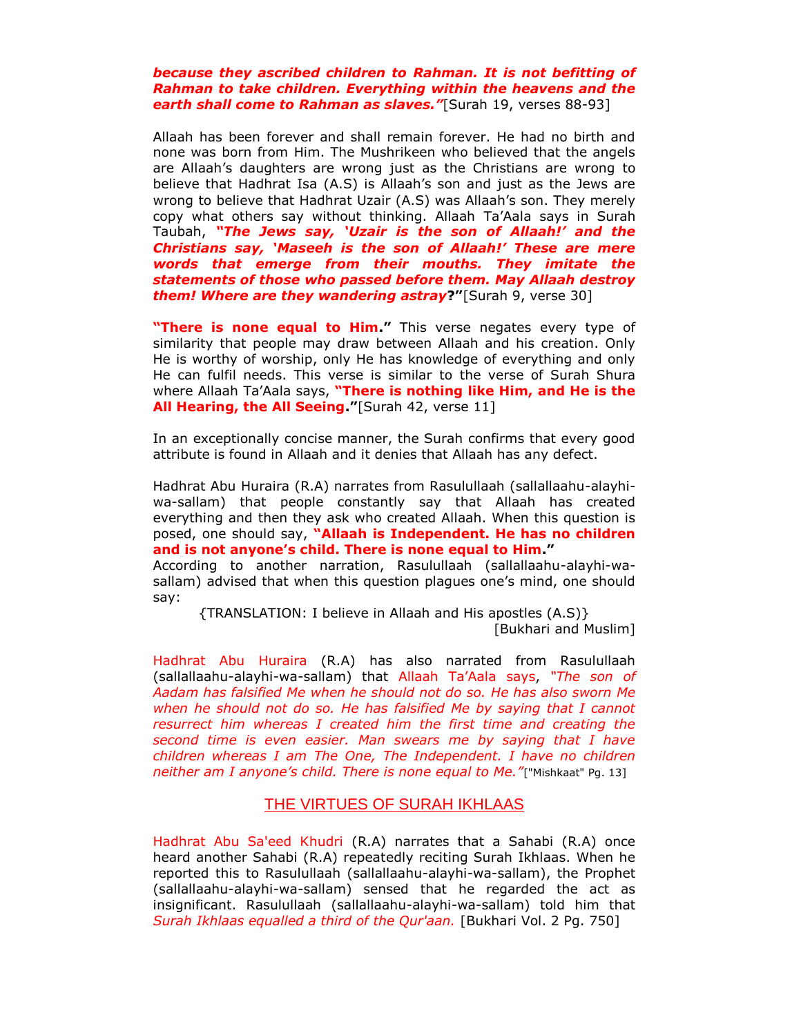## *because they ascribed children to Rahman. It is not befitting of Rahman to take children. Everything within the heavens and the earth shall come to Rahman as slaves."*[Surah 19, verses 88-93]

Allaah has been forever and shall remain forever. He had no birth and none was born from Him. The Mushrikeen who believed that the angels are Allaah's daughters are wrong just as the Christians are wrong to believe that Hadhrat Isa (A.S) is Allaah's son and just as the Jews are wrong to believe that Hadhrat Uzair (A.S) was Allaah's son. They merely copy what others say without thinking. Allaah Ta'Aala says in Surah Taubah, *"The Jews say, "Uzair is the son of Allaah!" and the Christians say, "Maseeh is the son of Allaah!" These are mere words that emerge from their mouths. They imitate the statements of those who passed before them. May Allaah destroy them! Where are they wandering astray***?"**[Surah 9, verse 30]

**"There is none equal to Him."** This verse negates every type of similarity that people may draw between Allaah and his creation. Only He is worthy of worship, only He has knowledge of everything and only He can fulfil needs. This verse is similar to the verse of Surah Shura where Allaah Ta'Aala says, **"There is nothing like Him, and He is the All Hearing, the All Seeing."**[Surah 42, verse 11]

In an exceptionally concise manner, the Surah confirms that every good attribute is found in Allaah and it denies that Allaah has any defect.

Hadhrat Abu Huraira (R.A) narrates from Rasulullaah (sallallaahu-alayhiwa-sallam) that people constantly say that Allaah has created everything and then they ask who created Allaah. When this question is posed, one should say, **"Allaah is Independent. He has no children and is not anyone's child. There is none equal to Him."** 

According to another narration, Rasulullaah (sallallaahu-alayhi-wasallam) advised that when this question plagues one's mind, one should say:

{TRANSLATION: I believe in Allaah and His apostles (A.S)} [Bukhari and Muslim]

Hadhrat Abu Huraira (R.A) has also narrated from Rasulullaah (sallallaahu-alayhi-wa-sallam) that Allaah Ta'Aala says, *"The son of Aadam has falsified Me when he should not do so. He has also sworn Me when he should not do so. He has falsified Me by saying that I cannot resurrect him whereas I created him the first time and creating the second time is even easier. Man swears me by saying that I have children whereas I am The One, The Independent. I have no children neither am I anyone's child. There is none equal to Me."*["Mishkaat" Pg. 13]

## THE VIRTUES OF SURAH IKHLAAS

Hadhrat Abu Sa'eed Khudri (R.A) narrates that a Sahabi (R.A) once heard another Sahabi (R.A) repeatedly reciting Surah Ikhlaas. When he reported this to Rasulullaah (sallallaahu-alayhi-wa-sallam), the Prophet (sallallaahu-alayhi-wa-sallam) sensed that he regarded the act as insignificant. Rasulullaah (sallallaahu-alayhi-wa-sallam) told him that *Surah Ikhlaas equalled a third of the Qur'aan.* [Bukhari Vol. 2 Pg. 750]